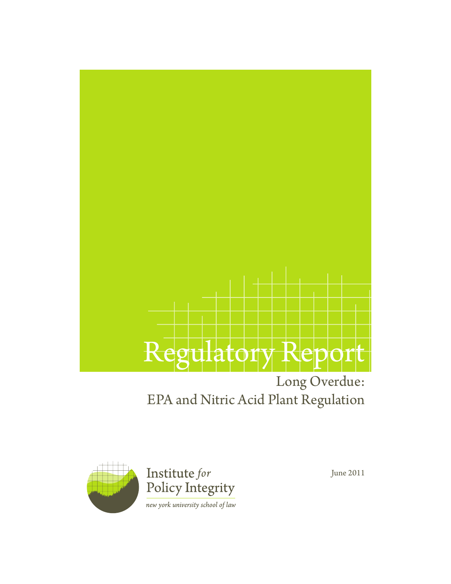

### EPA and Nitric Acid Plant Regulation



June 2011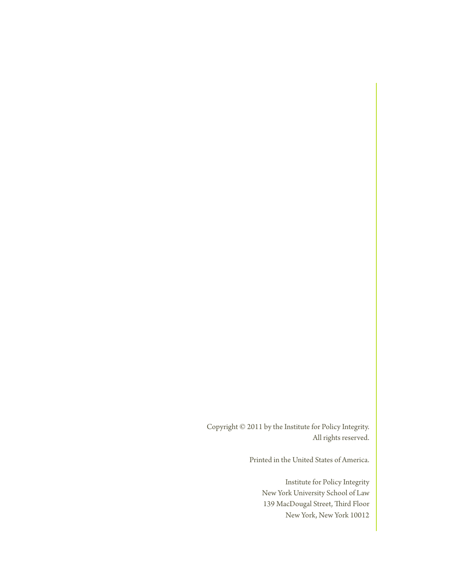Copyright © 2011 by the Institute for Policy Integrity. All rights reserved.

Printed in the United States of America.

Institute for Policy Integrity New York University School of Law 139 MacDougal Street, Third Floor New York, New York 10012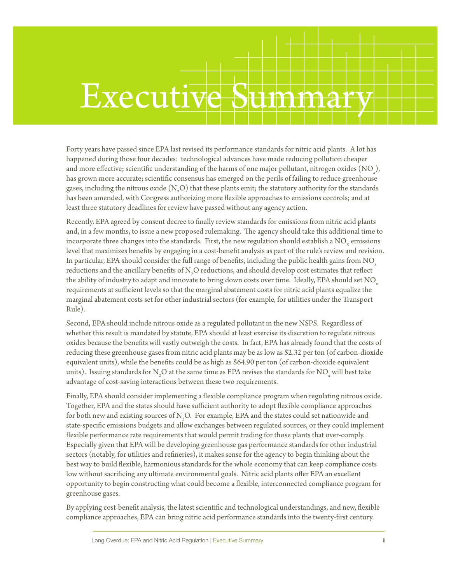## Executi

Forty years have passed since EPA last revised its performance standards for nitric acid plants. A lot has happened during those four decades: technological advances have made reducing pollution cheaper and more effective; scientific understanding of the harms of one major pollutant, nitrogen oxides  $\text{(NO)}\xspace_{\mathbf{x}}$ ), has grown more accurate; scientific consensus has emerged on the perils of failing to reduce greenhouse gases, including the nitrous oxide  $(N_2O)$  that these plants emit; the statutory authority for the standards has been amended, with Congress authorizing more flexible approaches to emissions controls; and at least three statutory deadlines for review have passed without any agency action.

Recently, EPA agreed by consent decree to finally review standards for emissions from nitric acid plants and, in a few months, to issue a new proposed rulemaking. The agency should take this additional time to incorporate three changes into the standards. First, the new regulation should establish a  $NO<sub>y</sub>$  emissions level that maximizes benefits by engaging in a cost-benefit analysis as part of the rule's review and revision. In particular, EPA should consider the full range of benefits, including the public health gains from  $NO<sub>x</sub>$ reductions and the ancillary benefits of  $\mathrm{N}_2\mathrm{O}$  reductions, and should develop cost estimates that reflect the ability of industry to adapt and innovate to bring down costs over time. Ideally, EPA should set NO<sub>x</sub> requirements at sufficient levels so that the marginal abatement costs for nitric acid plants equalize the marginal abatement costs set for other industrial sectors (for example, for utilities under the Transport Rule).

Second, EPA should include nitrous oxide as a regulated pollutant in the new NSPS. Regardless of whether this result is mandated by statute, EPA should at least exercise its discretion to regulate nitrous oxides because the benefits will vastly outweigh the costs. In fact, EPA has already found that the costs of reducing these greenhouse gases from nitric acid plants may be as low as \$2.32 per ton (of carbon-dioxide equivalent units), while the benefits could be as high as \$64.90 per ton (of carbon-dioxide equivalent units). Issuing standards for N<sub>2</sub>O at the same time as EPA revises the standards for NO<sub>x</sub> will best take advantage of cost-saving interactions between these two requirements.

Finally, EPA should consider implementing a flexible compliance program when regulating nitrous oxide. Together, EPA and the states should have sufficient authority to adopt flexible compliance approaches for both new and existing sources of N<sub>2</sub>O. For example, EPA and the states could set nationwide and state-specific emissions budgets and allow exchanges between regulated sources, or they could implement flexible performance rate requirements that would permit trading for those plants that over-comply. Especially given that EPA will be developing greenhouse gas performance standards for other industrial sectors (notably, for utilities and refineries), it makes sense for the agency to begin thinking about the best way to build flexible, harmonious standards for the whole economy that can keep compliance costs low without sacrificing any ultimate environmental goals. Nitric acid plants offer EPA an excellent opportunity to begin constructing what could become a flexible, interconnected compliance program for greenhouse gases.

By applying cost-benefit analysis, the latest scientific and technological understandings, and new, flexible compliance approaches, EPA can bring nitric acid performance standards into the twenty-first century.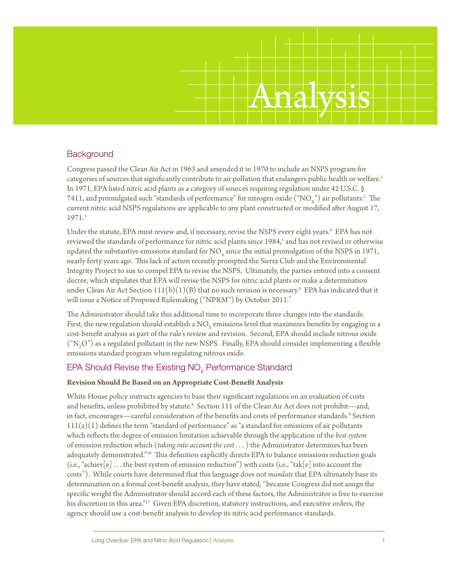# Analysis

#### **Background**

Congress passed the Clean Air Act in 1963 and amended it in 1970 to include an NSPS program for categories of sources that significantly contribute to air pollution that endangers public health or welfare.<sup>1</sup> In 1971, EPA listed nitric acid plants as a category of sources requiring regulation under 42 U.S.C. § 7411, and promulgated such "standards of performance" for nitrogen oxide  $(\mathrm{``NO}_{\mathrm{x}}$ ") air pollutants.<sup>2</sup> The current nitric acid NSPS regulations are applicable to any plant constructed or modified after August 17, 1971.3

Under the statute, EPA must review and, if necessary, revise the NSPS every eight years.<sup>4</sup> EPA has not reviewed the standards of performance for nitric acid plants since 1984,<sup>5</sup> and has not revised or otherwise updated the substantive emissions standard for  $NO<sub>x</sub>$  since the initial promulgation of the NSPS in 1971, nearly forty years ago. This lack of action recently prompted the Sierra Club and the Environmental Integrity Project to sue to compel EPA to revise the NSPS. Ultimately, the parties entered into a consent decree, which stipulates that EPA will revise the NSPS for nitric acid plants or make a determination under Clean Air Act Section 111(b)(1)(B) that no such revision is necessary.<sup>6</sup> EPA has indicated that it will issue a Notice of Proposed Rulemaking ("NPRM") by October 2011.<sup>7</sup>

The Administrator should take this additional time to incorporate three changes into the standards. First, the new regulation should establish a  $NO<sub>x</sub>$  emissions level that maximizes benefits by engaging in a cost-benefit analysis as part of the rule's review and revision. Second, EPA should include nitrous oxide  $({}^{\circ}N_{2}O^{n})$  as a regulated pollutant in the new NSPS. Finally, EPA should consider implementing a flexible emissions standard program when regulating nitrous oxide.

#### EPA Should Revise the Existing  $NO<sub>v</sub>$  Performance Standard

#### **Revision Should Be Based on an Appropriate Cost-Benefit Analysis**

White House policy instructs agencies to base their significant regulations on an evaluation of costs and benefits, unless prohibited by statute.<sup>8</sup> Section 111 of the Clean Air Act does not prohibit—and, in fact, encourages—careful consideration of the benefits and costs of performance standards.<sup>9</sup> Section  $111(a)(1)$  defines the term "standard of performance" as "a standard for emissions of air pollutants which reflects the degree of emission limitation achievable through the application of the *best system* of emission reduction which (*taking into account the cost* . . . ) the Administrator determines has been adequately demonstrated."10 This definition explicitly directs EPA to balance emissions reduction goals (i.e., "achiev[e]  $\dots$  the best system of emission reduction") with costs (i.e., "tak[e] into account the costs"). While courts have determined that this language does not *mandate* that EPA ultimately base its determination on a formal cost-benefit analysis, they have stated, "because Congress did not assign the specific weight the Administrator should accord each of these factors, the Administrator is free to exercise his discretion in this area."11 Given EPA discretion, statutory instructions, and executive orders, the agency should use a cost-benefit analysis to develop its nitric acid performance standards.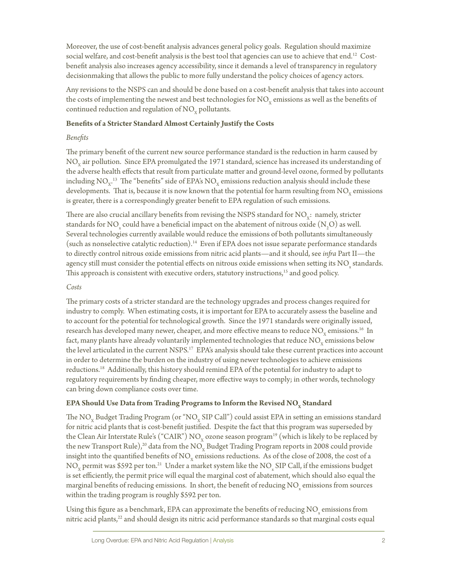Moreover, the use of cost-benefit analysis advances general policy goals. Regulation should maximize social welfare, and cost-benefit analysis is the best tool that agencies can use to achieve that end.<sup>12</sup> Costbenefit analysis also increases agency accessibility, since it demands a level of transparency in regulatory decisionmaking that allows the public to more fully understand the policy choices of agency actors.

Any revisions to the NSPS can and should be done based on a cost-benefit analysis that takes into account the costs of implementing the newest and best technologies for  $NO<sub>v</sub>$  emissions as well as the benefits of continued reduction and regulation of  $NO<sub>x</sub>$  pollutants.

#### **Benefits of a Stricter Standard Almost Certainly Justify the Costs**

#### *Benefits*

The primary benefit of the current new source performance standard is the reduction in harm caused by  $NO<sub>x</sub>$  air pollution. Since EPA promulgated the 1971 standard, science has increased its understanding of the adverse health effects that result from particulate matter and ground-level ozone, formed by pollutants including NO<sub>x</sub>.<sup>13</sup> The "benefits" side of EPA's NO<sub>x</sub> emissions reduction analysis should include these developments. That is, because it is now known that the potential for harm resulting from  $NO<sub>x</sub>$  emissions is greater, there is a correspondingly greater benefit to EPA regulation of such emissions.

There are also crucial ancillary benefits from revising the NSPS standard for  $NO<sub>x</sub>$ : namely, stricter standards for NO<sub>x</sub> could have a beneficial impact on the abatement of nitrous oxide  $(N_2O)$  as well. Several technologies currently available would reduce the emissions of both pollutants simultaneously (such as nonselective catalytic reduction).14 Even if EPA does not issue separate performance standards to directly control nitrous oxide emissions from nitric acid plants—and it should, see *infra* Part II—the agency still must consider the potential effects on nitrous oxide emissions when setting its  $\rm NO_{x}$  standards. This approach is consistent with executive orders, statutory instructions,<sup>15</sup> and good policy.

#### *Costs*

The primary costs of a stricter standard are the technology upgrades and process changes required for industry to comply. When estimating costs, it is important for EPA to accurately assess the baseline and to account for the potential for technological growth. Since the 1971 standards were originally issued, research has developed many newer, cheaper, and more effective means to reduce  $\rm NO_{\rm v}$  emissions.<sup>16</sup> In fact, many plants have already voluntarily implemented technologies that reduce  $\rm NO_{v}$  emissions below the level articulated in the current NSPS.<sup>17</sup> EPA's analysis should take these current practices into account in order to determine the burden on the industry of using newer technologies to achieve emissions reductions.18 Additionally, this history should remind EPA of the potential for industry to adapt to regulatory requirements by finding cheaper, more effective ways to comply; in other words, technology can bring down compliance costs over time.

#### **EPA Should Use Data from Trading Programs to Inform the Revised NO<sub>y</sub> Standard**

The  $NO<sub>x</sub>$  Budget Trading Program (or " $NO<sub>x</sub>$  SIP Call") could assist EPA in setting an emissions standard for nitric acid plants that is cost-benefit justified. Despite the fact that this program was superseded by the Clean Air Interstate Rule's ("CAIR") NO<sub>y</sub> ozone season program<sup>19</sup> (which is likely to be replaced by the new Transport Rule),<sup>20</sup> data from the NO<sub>x</sub> Budget Trading Program reports in 2008 could provide insight into the quantified benefits of  $\rm NO_x$  emissions reductions. As of the close of 2008, the cost of a  $\rm NO_{_X}$  permit was \$592 per ton.<sup>21</sup> Under a market system like the  $\rm NO_{_X}$  SIP Call, if the emissions budget is set efficiently, the permit price will equal the marginal cost of abatement, which should also equal the marginal benefits of reducing emissions. In short, the benefit of reducing NO  $_{\rm x}$  emissions from sources within the trading program is roughly \$592 per ton.

Using this figure as a benchmark, EPA can approximate the benefits of reducing  $\rm NO_{x}$  emissions from nitric acid plants,<sup>22</sup> and should design its nitric acid performance standards so that marginal costs equal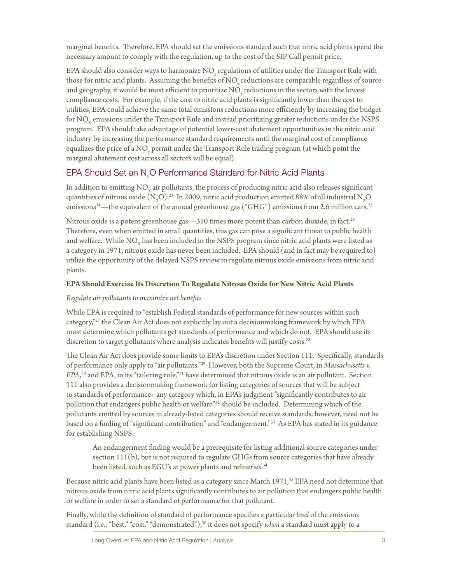marginal benefits. Therefore, EPA should set the emissions standard such that nitric acid plants spend the necessary amount to comply with the regulation, up to the cost of the SIP Call permit price.

EPA should also consider ways to harmonize  $\rm NO_{x}$  regulations of utilities under the Transport Rule with those for nitric acid plants. Assuming the benefits of NO  $_{\rm x}$  reductions are comparable regardless of source and geography, it would be most efficient to prioritize  $\mathrm{NO}_{\mathrm{x}}$  reductions in the sectors with the lowest compliance costs. For example, if the cost to nitric acid plants is significantly lower than the cost to utilities, EPA could achieve the same total emissions reductions more efficiently by increasing the budget for NO<sub>y</sub> emissions under the Transport Rule and instead prioritizing greater reductions under the NSPS program. EPA should take advantage of potential lower-cost abatement opportunities in the nitric acid industry by increasing the performance standard requirements until the marginal cost of compliance equalizes the price of a NO<sub>x</sub> permit under the Transport Rule trading program (at which point the marginal abatement cost across all sectors will be equal).

#### EPA Should Set an  $\mathsf{N}_{2}\mathsf{O}$  Performance Standard for Nitric Acid Plants

In addition to emitting  $NO<sub>v</sub>$  air pollutants, the process of producing nitric acid also releases significant quantities of nitrous oxide (N<sub>2</sub>O).<sup>23</sup> In 2009, nitric acid production emitted 88% of all industrial N<sub>2</sub>O emissions<sup>24</sup>—the equivalent of the annual greenhouse gas ("GHG") emissions from 2.6 million cars.<sup>25</sup>

Nitrous oxide is a potent greenhouse gas  $-310$  times more potent than carbon dioxide, in fact.<sup>26</sup> Therefore, even when emitted in small quantities, this gas can pose a significant threat to public health and welfare. While  $NO<sub>x</sub>$  has been included in the NSPS program since nitric acid plants were listed as a category in 1971, nitrous oxide has never been included. EPA should (and in fact may be required to) utilize the opportunity of the delayed NSPS review to regulate nitrous oxide emissions from nitric acid plants.

#### **EPA Should Exercise Its Discretion To Regulate Nitrous Oxide for New Nitric Acid Plants**

#### *Regulate air pollutants to maximize net benefits*

While EPA is required to "establish Federal standards of performance for new sources within such category,"<sup>27</sup> the Clean Air Act does not explicitly lay out a decisionmaking framework by which EPA must determine which pollutants get standards of performance and which do not. EPA should use its discretion to target pollutants where analysis indicates benefits will justify costs.<sup>28</sup>

The Clean Air Act does provide some limits to EPA's discretion under Section 111. Specifically, standards of performance only apply to "air pollutants."29 However, both the Supreme Court, in *Massachusetts v. EPA,*30 and EPA, in its "tailoring rule,"31 have determined that nitrous oxide is an air pollutant. Section 111 also provides a decisionmaking framework for listing categories of sources that will be subject to standards of performance: any category which, in EPA's judgment "significantly contributes to air pollution that endangers public health or welfare"32 should be included. Determining which of the pollutants emitted by sources in already-listed categories should receive standards, however, need not be based on a finding of "significant contribution" and "endangerment."33 As EPA has stated in its guidance for establishing NSPS:

An endangerment finding would be a prerequisite for listing additional source categories under section 111(b), but is not required to regulate GHGs from source categories that have already been listed, such as EGU's at power plants and refineries.<sup>34</sup>

Because nitric acid plants have been listed as a category since March 1971,<sup>35</sup> EPA need not determine that nitrous oxide from nitric acid plants significantly contributes to air pollution that endangers public health or welfare in order to set a standard of performance for that pollutant.

Finally, while the definition of standard of performance specifies a particular *level* of the emissions standard (i.e., "best," "cost," "demonstrated"),<sup>36</sup> it does not specify *when* a standard must apply to a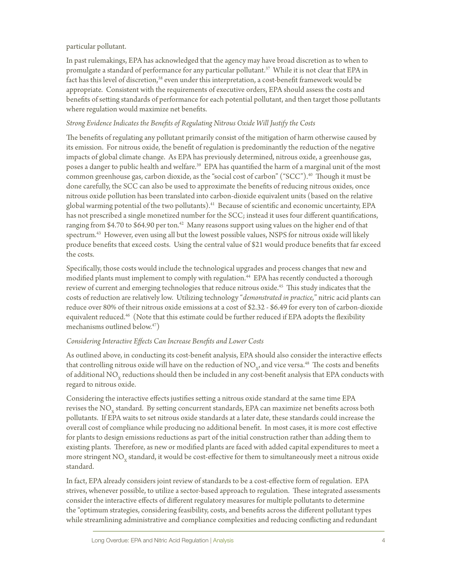#### particular pollutant.

In past rulemakings, EPA has acknowledged that the agency may have broad discretion as to when to promulgate a standard of performance for any particular pollutant.<sup>37</sup> While it is not clear that EPA in fact has this level of discretion,<sup>38</sup> even under this interpretation, a cost-benefit framework would be appropriate. Consistent with the requirements of executive orders, EPA should assess the costs and benefits of setting standards of performance for each potential pollutant, and then target those pollutants where regulation would maximize net benefits.

#### *Strong Evidence Indicates the Benefits of Regulating Nitrous Oxide Will Justify the Costs*

The benefits of regulating any pollutant primarily consist of the mitigation of harm otherwise caused by its emission. For nitrous oxide, the benefit of regulation is predominantly the reduction of the negative impacts of global climate change. As EPA has previously determined, nitrous oxide, a greenhouse gas, poses a danger to public health and welfare.<sup>39</sup> EPA has quantified the harm of a marginal unit of the most common greenhouse gas, carbon dioxide, as the "social cost of carbon" ("SCC").40 Though it must be done carefully, the SCC can also be used to approximate the benefits of reducing nitrous oxides, once nitrous oxide pollution has been translated into carbon-dioxide equivalent units (based on the relative global warming potential of the two pollutants).<sup>41</sup> Because of scientific and economic uncertainty, EPA has not prescribed a single monetized number for the SCC; instead it uses four different quantifications, ranging from \$4.70 to \$64.90 per ton.<sup>42</sup> Many reasons support using values on the higher end of that spectrum.<sup>43</sup> However, even using all but the lowest possible values, NSPS for nitrous oxide will likely produce benefits that exceed costs. Using the central value of \$21 would produce benefits that far exceed the costs.

Specifically, those costs would include the technological upgrades and process changes that new and modified plants must implement to comply with regulation.<sup>44</sup> EPA has recently conducted a thorough review of current and emerging technologies that reduce nitrous oxide.<sup>45</sup> This study indicates that the costs of reduction are relatively low. Utilizing technology "*demonstrated in practice,*" nitric acid plants can reduce over 80% of their nitrous oxide emissions at a cost of \$2.32 - \$6.49 for every ton of carbon-dioxide equivalent reduced.<sup>46</sup> (Note that this estimate could be further reduced if EPA adopts the flexibility mechanisms outlined below.47)

#### *Considering Interactive Effects Can Increase Benefits and Lower Costs*

As outlined above, in conducting its cost-benefit analysis, EPA should also consider the interactive effects that controlling nitrous oxide will have on the reduction of  $NO<sub>x</sub>$ , and vice versa.<sup>48</sup> The costs and benefits of additional NO<sub>x</sub> reductions should then be included in any cost-benefit analysis that EPA conducts with regard to nitrous oxide.

Considering the interactive effects justifies setting a nitrous oxide standard at the same time EPA revises the NO<sub>y</sub> standard. By setting concurrent standards, EPA can maximize net benefits across both pollutants. If EPA waits to set nitrous oxide standards at a later date, these standards could increase the overall cost of compliance while producing no additional benefit. In most cases, it is more cost effective for plants to design emissions reductions as part of the initial construction rather than adding them to existing plants. Therefore, as new or modified plants are faced with added capital expenditures to meet a more stringent  $NO<sub>v</sub>$  standard, it would be cost-effective for them to simultaneously meet a nitrous oxide standard.

In fact, EPA already considers joint review of standards to be a cost-effective form of regulation. EPA strives, whenever possible, to utilize a sector-based approach to regulation. These integrated assessments consider the interactive effects of different regulatory measures for multiple pollutants to determine the "optimum strategies, considering feasibility, costs, and benefits across the different pollutant types while streamlining administrative and compliance complexities and reducing conflicting and redundant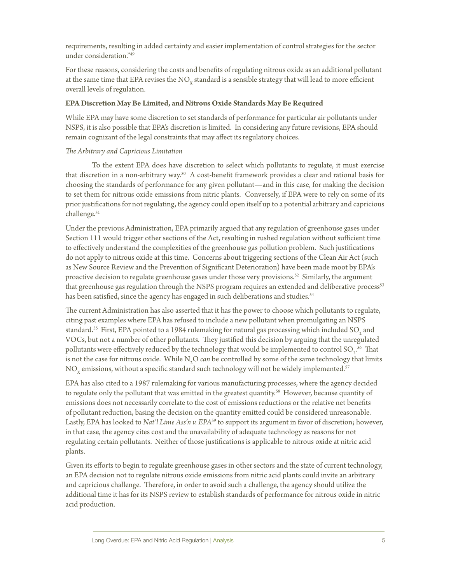requirements, resulting in added certainty and easier implementation of control strategies for the sector under consideration."49

For these reasons, considering the costs and benefits of regulating nitrous oxide as an additional pollutant at the same time that EPA revises the  $\rm NO_{x}$  standard is a sensible strategy that will lead to more efficient overall levels of regulation.

#### **EPA Discretion May Be Limited, and Nitrous Oxide Standards May Be Required**

While EPA may have some discretion to set standards of performance for particular air pollutants under NSPS, it is also possible that EPA's discretion is limited. In considering any future revisions, EPA should remain cognizant of the legal constraints that may affect its regulatory choices.

#### *The Arbitrary and Capricious Limitation*

To the extent EPA does have discretion to select which pollutants to regulate, it must exercise that discretion in a non-arbitrary way.<sup>50</sup> A cost-benefit framework provides a clear and rational basis for choosing the standards of performance for any given pollutant—and in this case, for making the decision to set them for nitrous oxide emissions from nitric plants. Conversely, if EPA were to rely on some of its prior justifications for not regulating, the agency could open itself up to a potential arbitrary and capricious challenge.<sup>51</sup>

Under the previous Administration, EPA primarily argued that any regulation of greenhouse gases under Section 111 would trigger other sections of the Act, resulting in rushed regulation without sufficient time to effectively understand the complexities of the greenhouse gas pollution problem. Such justifications do not apply to nitrous oxide at this time. Concerns about triggering sections of the Clean Air Act (such as New Source Review and the Prevention of Significant Deterioration) have been made moot by EPA's proactive decision to regulate greenhouse gases under those very provisions.52 Similarly, the argument that greenhouse gas regulation through the NSPS program requires an extended and deliberative process<sup>53</sup> has been satisfied, since the agency has engaged in such deliberations and studies.<sup>54</sup>

The current Administration has also asserted that it has the power to choose which pollutants to regulate, citing past examples where EPA has refused to include a new pollutant when promulgating an NSPS standard.<sup>55</sup> First, EPA pointed to a 1984 rulemaking for natural gas processing which included SO<sub>2</sub> and VOCs, but not a number of other pollutants. They justified this decision by arguing that the unregulated pollutants were effectively reduced by the technology that would be implemented to control SO<sub>2</sub>.<sup>56</sup> That is not the case for nitrous oxide. While N<sub>2</sub>O *can* be controlled by some of the same technology that limits NO<sub>v</sub> emissions, without a specific standard such technology will not be widely implemented.<sup>57</sup>

EPA has also cited to a 1987 rulemaking for various manufacturing processes, where the agency decided to regulate only the pollutant that was emitted in the greatest quantity.<sup>58</sup> However, because quantity of emissions does not necessarily correlate to the cost of emissions reductions or the relative net benefits of pollutant reduction, basing the decision on the quantity emitted could be considered unreasonable. Lastly, EPA has looked to *Nat'l Lime Ass'n v. EPA<sup>59</sup>* to support its argument in favor of discretion; however, in that case, the agency cites cost and the unavailability of adequate technology as reasons for not regulating certain pollutants. Neither of those justifications is applicable to nitrous oxide at nitric acid plants.

Given its efforts to begin to regulate greenhouse gases in other sectors and the state of current technology, an EPA decision not to regulate nitrous oxide emissions from nitric acid plants could invite an arbitrary and capricious challenge. Therefore, in order to avoid such a challenge, the agency should utilize the additional time it has for its NSPS review to establish standards of performance for nitrous oxide in nitric acid production.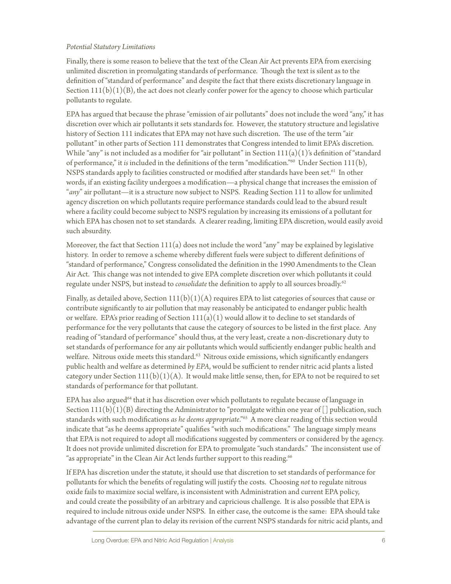#### *Potential Statutory Limitations*

Finally, there is some reason to believe that the text of the Clean Air Act prevents EPA from exercising unlimited discretion in promulgating standards of performance. Though the text is silent as to the definition of "standard of performance" and despite the fact that there exists discretionary language in Section  $111(b)(1)(B)$ , the act does not clearly confer power for the agency to choose which particular pollutants to regulate.

EPA has argued that because the phrase "emission of air pollutants" does not include the word "any," it has discretion over which air pollutants it sets standards for. However, the statutory structure and legislative history of Section 111 indicates that EPA may not have such discretion. The use of the term "air pollutant" in other parts of Section 111 demonstrates that Congress intended to limit EPA's discretion. While "any" is not included as a modifier for "air pollutant" in Section  $111(a)(1)$ 's definition of "standard of performance," it *is* included in the definitions of the term "modification."60 Under Section 111(b), NSPS standards apply to facilities constructed or modified after standards have been set.<sup>61</sup> In other words, if an existing facility undergoes a modification—a physical change that increases the emission of "*any*" air pollutant—it is a structure now subject to NSPS. Reading Section 111 to allow for unlimited agency discretion on which pollutants require performance standards could lead to the absurd result where a facility could become subject to NSPS regulation by increasing its emissions of a pollutant for which EPA has chosen not to set standards. A clearer reading, limiting EPA discretion, would easily avoid such absurdity.

Moreover, the fact that Section 111(a) does not include the word "any" may be explained by legislative history. In order to remove a scheme whereby different fuels were subject to different definitions of "standard of performance," Congress consolidated the definition in the 1990 Amendments to the Clean Air Act. This change was not intended to give EPA complete discretion over which pollutants it could regulate under NSPS, but instead to *consolidate* the definition to apply to all sources broadly.62

Finally, as detailed above, Section  $111(b)(1)(A)$  requires EPA to list categories of sources that cause or contribute significantly to air pollution that may reasonably be anticipated to endanger public health or welfare. EPA's prior reading of Section  $111(a)(1)$  would allow it to decline to set standards of performance for the very pollutants that cause the category of sources to be listed in the first place. Any reading of "standard of performance" should thus, at the very least, create a non-discretionary duty to set standards of performance for any air pollutants which would sufficiently endanger public health and welfare. Nitrous oxide meets this standard.<sup>63</sup> Nitrous oxide emissions, which significantly endangers public health and welfare as determined *by EPA*, would be sufficient to render nitric acid plants a listed category under Section  $111(b)(1)(A)$ . It would make little sense, then, for EPA to not be required to set standards of performance for that pollutant.

EPA has also argued<sup>64</sup> that it has discretion over which pollutants to regulate because of language in Section  $111(b)(1)(B)$  directing the Administrator to "promulgate within one year of [] publication, such standards with such modifications *as he deems appropriate*."65 A more clear reading of this section would indicate that "as he deems appropriate" qualifies "with such modifications." The language simply means that EPA is not required to adopt all modifications suggested by commenters or considered by the agency. It does not provide unlimited discretion for EPA to promulgate "such standards." The inconsistent use of "as appropriate" in the Clean Air Act lends further support to this reading.<sup>66</sup>

If EPA has discretion under the statute, it should use that discretion to set standards of performance for pollutants for which the benefits of regulating will justify the costs. Choosing *not* to regulate nitrous oxide fails to maximize social welfare, is inconsistent with Administration and current EPA policy, and could create the possibility of an arbitrary and capricious challenge. It is also possible that EPA is required to include nitrous oxide under NSPS. In either case, the outcome is the same: EPA should take advantage of the current plan to delay its revision of the current NSPS standards for nitric acid plants, and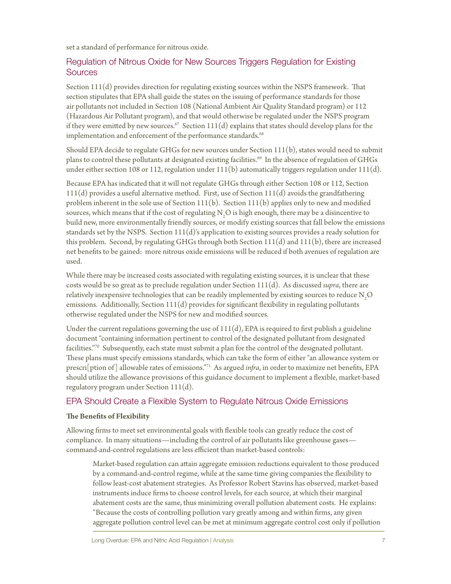set a standard of performance for nitrous oxide.

#### Regulation of Nitrous Oxide for New Sources Triggers Regulation for Existing **Sources**

Section 111(d) provides direction for regulating existing sources within the NSPS framework. That section stipulates that EPA shall guide the states on the issuing of performance standards for those air pollutants not included in Section 108 (National Ambient Air Quality Standard program) or 112 (Hazardous Air Pollutant program), and that would otherwise be regulated under the NSPS program if they were emitted by new sources.<sup>67</sup> Section  $111(d)$  explains that states should develop plans for the implementation and enforcement of the performance standards.<sup>68</sup>

Should EPA decide to regulate GHGs for new sources under Section 111(b), states would need to submit plans to control these pollutants at designated existing facilities.<sup>69</sup> In the absence of regulation of GHGs under either section 108 or 112, regulation under  $111(b)$  automatically triggers regulation under  $111(d)$ .

Because EPA has indicated that it will not regulate GHGs through either Section 108 or 112, Section  $111(d)$  provides a useful alternative method. First, use of Section  $111(d)$  avoids the grandfathering problem inherent in the sole use of Section 111(b). Section 111(b) applies only to new and modified sources, which means that if the cost of regulating  $\mathrm{N}_2\mathrm{O}$  is high enough, there may be a disincentive to build new, more environmentally friendly sources, or modify existing sources that fall below the emissions standards set by the NSPS. Section 111(d)'s application to existing sources provides a ready solution for this problem. Second, by regulating GHGs through both Section  $111(d)$  and  $111(b)$ , there are increased net benefits to be gained: more nitrous oxide emissions will be reduced if both avenues of regulation are used.

While there may be increased costs associated with regulating existing sources, it is unclear that these costs would be so great as to preclude regulation under Section 111(d). As discussed *supra*, there are relatively inexpensive technologies that can be readily implemented by existing sources to reduce  $\rm N\textsubscript{2}O$ emissions. Additionally, Section 111(d) provides for significant flexibility in regulating pollutants otherwise regulated under the NSPS for new and modified sources.

Under the current regulations governing the use of  $111(d)$ , EPA is required to first publish a guideline document "containing information pertinent to control of the designated pollutant from designated facilities."70 Subsequently, each state must submit a plan for the control of the designated pollutant. These plans must specify emissions standards, which can take the form of either "an allowance system or prescri[ption of] allowable rates of emissions."71 As argued *infra*, in order to maximize net benefits, EPA should utilize the allowance provisions of this guidance document to implement a flexible, market-based regulatory program under Section 111(d).

#### EPA Should Create a Flexible System to Regulate Nitrous Oxide Emissions

#### **The Benefits of Flexibility**

Allowing firms to meet set environmental goals with flexible tools can greatly reduce the cost of compliance. In many situations—including the control of air pollutants like greenhouse gases command‐and‐control regulations are less efficient than market‐based controls:

Market-based regulation can attain aggregate emission reductions equivalent to those produced by a command‐and‐control regime, while at the same time giving companies the flexibility to follow least‐cost abatement strategies. As Professor Robert Stavins has observed, market-based instruments induce firms to choose control levels, for each source, at which their marginal abatement costs are the same, thus minimizing overall pollution abatement costs. He explains: "Because the costs of controlling pollution vary greatly among and within firms, any given aggregate pollution control level can be met at minimum aggregate control cost only if pollution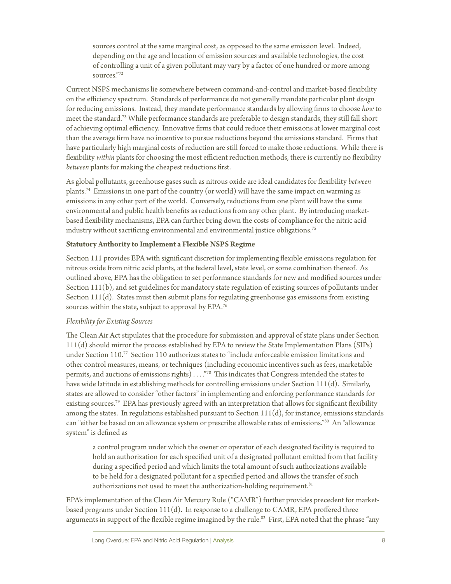sources control at the same marginal cost, as opposed to the same emission level. Indeed, depending on the age and location of emission sources and available technologies, the cost of controlling a unit of a given pollutant may vary by a factor of one hundred or more among sources."72

Current NSPS mechanisms lie somewhere between command-and-control and market-based flexibility on the efficiency spectrum. Standards of performance do not generally mandate particular plant *design*  for reducing emissions. Instead, they mandate performance standards by allowing firms to choose *how* to meet the standard.73 While performance standards are preferable to design standards, they still fall short of achieving optimal efficiency. Innovative firms that could reduce their emissions at lower marginal cost than the average firm have no incentive to pursue reductions beyond the emissions standard. Firms that have particularly high marginal costs of reduction are still forced to make those reductions. While there is flexibility *within* plants for choosing the most efficient reduction methods, there is currently no flexibility *between* plants for making the cheapest reductions first.

As global pollutants, greenhouse gases such as nitrous oxide are ideal candidates for flexibility *between* plants.74 Emissions in one part of the country (or world) will have the same impact on warming as emissions in any other part of the world. Conversely, reductions from one plant will have the same environmental and public health benefits as reductions from any other plant. By introducing marketbased flexibility mechanisms, EPA can further bring down the costs of compliance for the nitric acid industry without sacrificing environmental and environmental justice obligations.<sup>75</sup>

#### **Statutory Authority to Implement a Flexible NSPS Regime**

Section 111 provides EPA with significant discretion for implementing flexible emissions regulation for nitrous oxide from nitric acid plants, at the federal level, state level, or some combination thereof. As outlined above, EPA has the obligation to set performance standards for new and modified sources under Section 111(b), and set guidelines for mandatory state regulation of existing sources of pollutants under Section 111(d). States must then submit plans for regulating greenhouse gas emissions from existing sources within the state, subject to approval by EPA.76

#### *Flexibility for Existing Sources*

The Clean Air Act stipulates that the procedure for submission and approval of state plans under Section 111(d) should mirror the process established by EPA to review the State Implementation Plans (SIPs) under Section 110.77 Section 110 authorizes states to "include enforceable emission limitations and other control measures, means, or techniques (including economic incentives such as fees, marketable permits, and auctions of emissions rights) ...."<sup>78</sup> This indicates that Congress intended the states to have wide latitude in establishing methods for controlling emissions under Section 111(d). Similarly, states are allowed to consider "other factors" in implementing and enforcing performance standards for existing sources.<sup>79</sup> EPA has previously agreed with an interpretation that allows for significant flexibility among the states. In regulations established pursuant to Section  $111(d)$ , for instance, emissions standards can "either be based on an allowance system or prescribe allowable rates of emissions."80 An "allowance system" is defined as

a control program under which the owner or operator of each designated facility is required to hold an authorization for each specified unit of a designated pollutant emitted from that facility during a specified period and which limits the total amount of such authorizations available to be held for a designated pollutant for a specified period and allows the transfer of such authorizations not used to meet the authorization-holding requirement.<sup>81</sup>

EPA's implementation of the Clean Air Mercury Rule ("CAMR") further provides precedent for marketbased programs under Section 111(d). In response to a challenge to CAMR, EPA proffered three arguments in support of the flexible regime imagined by the rule.<sup>82</sup> First, EPA noted that the phrase "any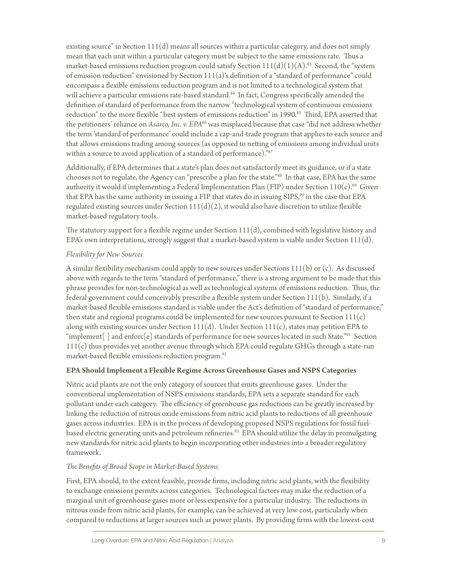existing source" in Section  $111(d)$  means all sources within a particular category, and does not simply mean that each unit within a particular category must be subject to the same emissions rate. Thus a market-based emissions reduction program could satisfy Section  $111(d)(1)(A).^{83}$  Second, the "system" of emission reduction" envisioned by Section 111(a)'s definition of a "standard of performance" could encompass a flexible emissions reduction program and is not limited to a technological system that will achieve a particular emissions rate-based standard.<sup>84</sup> In fact, Congress specifically amended the definition of standard of performance from the narrow "technological system of continuous emissions reduction" to the more flexible "best system of emissions reduction" in 1990.<sup>85</sup> Third, EPA asserted that the petitioners' reliance on *Asarco, Inc. v. EPA*86 was misplaced because that case "did not address whether the term 'standard of performance' could include a cap-and-trade program that applies to each source and that allows emissions trading among sources (as opposed to netting of emissions among individual units within a source to avoid application of a standard of performance)."87

Additionally, if EPA determines that a state's plan does not satisfactorily meet its guidance, or if a state chooses not to regulate, the Agency can "prescribe a plan for the state."88 In that case, EPA has the same authority it would if implementing a Federal Implementation Plan (FIP) under Section  $110(c)$ .<sup>89</sup> Given that EPA has the same authority in issuing a FIP that states do in issuing SIPS,<sup>90</sup> in the case that EPA regulated existing sources under Section  $111(d)(2)$ , it would also have discretion to utilize flexible market-based regulatory tools.

The statutory support for a flexible regime under Section  $111(d)$ , combined with legislative history and EPA's own interpretations, strongly suggest that a market-based system is viable under Section  $111(d)$ .

#### *Flexibility for New Sources*

A similar flexibility mechanism could apply to new sources under Sections 111(b) or (c). As discussed above with regards to the term "standard of performance," there is a strong argument to be made that this phrase provides for non-technological as well as technological systems of emissions reduction. Thus, the federal government could conceivably prescribe a flexible system under Section 111(b). Similarly, if a market-based flexible emissions standard is viable under the Act's definition of "standard of performance," then state and regional programs could be implemented for new sources pursuant to Section  $111(c)$ along with existing sources under Section  $111(d)$ . Under Section  $111(c)$ , states may petition EPA to "implement<sup>[</sup>] and enforc<sup>[e]</sup> standards of performance for new sources located in such State."<sup>91</sup> Section 111(c) thus provides yet another avenue through which EPA could regulate GHGs through a state-run market-based flexible emissions reduction program.<sup>92</sup>

#### **EPA Should Implement a Flexible Regime Across Greenhouse Gases and NSPS Categories**

Nitric acid plants are not the only category of sources that emits greenhouse gases. Under the conventional implementation of NSPS emissions standards, EPA sets a separate standard for each pollutant under each category. The efficiency of greenhouse gas reductions can be greatly increased by linking the reduction of nitrous oxide emissions from nitric acid plants to reductions of all greenhouse gases across industries. EPA is in the process of developing proposed NSPS regulations for fossil fuelbased electric generating units and petroleum refineries.<sup>93</sup> EPA should utilize the delay in promulgating new standards for nitric acid plants to begin incorporating other industries into a broader regulatory framework.

#### *The Benefits of Broad Scope in Market-Based Systems*

First, EPA should, to the extent feasible, provide firms, including nitric acid plants, with the flexibility to exchange emissions permits across categories. Technological factors may make the reduction of a marginal unit of greenhouse gases more or less expensive for a particular industry. The reductions in nitrous oxide from nitric acid plants, for example, can be achieved at very low cost, particularly when compared to reductions at larger sources such as power plants. By providing firms with the lowest-cost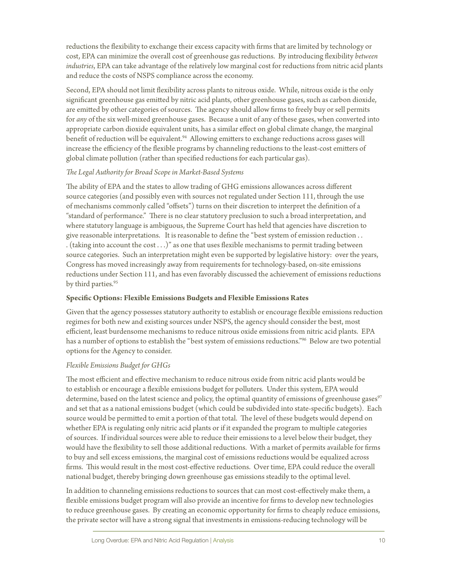reductions the flexibility to exchange their excess capacity with firms that are limited by technology or cost, EPA can minimize the overall cost of greenhouse gas reductions. By introducing flexibility *between industries*, EPA can take advantage of the relatively low marginal cost for reductions from nitric acid plants and reduce the costs of NSPS compliance across the economy.

Second, EPA should not limit flexibility across plants to nitrous oxide. While, nitrous oxide is the only significant greenhouse gas emitted by nitric acid plants, other greenhouse gases, such as carbon dioxide, are emitted by other categories of sources. The agency should allow firms to freely buy or sell permits for *any* of the six well-mixed greenhouse gases. Because a unit of any of these gases, when converted into appropriate carbon dioxide equivalent units, has a similar effect on global climate change, the marginal benefit of reduction will be equivalent.<sup>94</sup> Allowing emitters to exchange reductions across gases will increase the efficiency of the flexible programs by channeling reductions to the least-cost emitters of global climate pollution (rather than specified reductions for each particular gas).

#### *The Legal Authority for Broad Scope in Market-Based Systems*

The ability of EPA and the states to allow trading of GHG emissions allowances across different source categories (and possibly even with sources not regulated under Section 111, through the use of mechanisms commonly called "offsets") turns on their discretion to interpret the definition of a "standard of performance." There is no clear statutory preclusion to such a broad interpretation, and where statutory language is ambiguous, the Supreme Court has held that agencies have discretion to give reasonable interpretations. It is reasonable to define the "best system of emission reduction . . . (taking into account the cost . . .)" as one that uses flexible mechanisms to permit trading between source categories. Such an interpretation might even be supported by legislative history: over the years, Congress has moved increasingly away from requirements for technology-based, on-site emissions reductions under Section 111, and has even favorably discussed the achievement of emissions reductions by third parties.<sup>95</sup>

#### **Specific Options: Flexible Emissions Budgets and Flexible Emissions Rates**

Given that the agency possesses statutory authority to establish or encourage flexible emissions reduction regimes for both new and existing sources under NSPS, the agency should consider the best, most efficient, least burdensome mechanisms to reduce nitrous oxide emissions from nitric acid plants. EPA has a number of options to establish the "best system of emissions reductions."96 Below are two potential options for the Agency to consider.

#### *Flexible Emissions Budget for GHGs*

The most efficient and effective mechanism to reduce nitrous oxide from nitric acid plants would be to establish or encourage a flexible emissions budget for polluters. Under this system, EPA would determine, based on the latest science and policy, the optimal quantity of emissions of greenhouse gases<sup>97</sup> and set that as a national emissions budget (which could be subdivided into state-specific budgets). Each source would be permitted to emit a portion of that total. The level of these budgets would depend on whether EPA is regulating only nitric acid plants or if it expanded the program to multiple categories of sources. If individual sources were able to reduce their emissions to a level below their budget, they would have the flexibility to sell those additional reductions. With a market of permits available for firms to buy and sell excess emissions, the marginal cost of emissions reductions would be equalized across firms. This would result in the most cost-effective reductions. Over time, EPA could reduce the overall national budget, thereby bringing down greenhouse gas emissions steadily to the optimal level.

In addition to channeling emissions reductions to sources that can most cost-effectively make them, a flexible emissions budget program will also provide an incentive for firms to develop new technologies to reduce greenhouse gases. By creating an economic opportunity for firms to cheaply reduce emissions, the private sector will have a strong signal that investments in emissions-reducing technology will be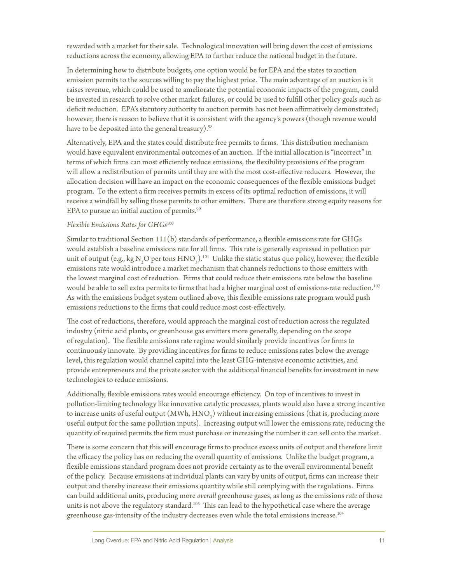rewarded with a market for their sale. Technological innovation will bring down the cost of emissions reductions across the economy, allowing EPA to further reduce the national budget in the future.

In determining how to distribute budgets, one option would be for EPA and the states to auction emission permits to the sources willing to pay the highest price. The main advantage of an auction is it raises revenue, which could be used to ameliorate the potential economic impacts of the program, could be invested in research to solve other market-failures, or could be used to fulfill other policy goals such as deficit reduction. EPA's statutory authority to auction permits has not been affirmatively demonstrated; however, there is reason to believe that it is consistent with the agency's powers (though revenue would have to be deposited into the general treasury).<sup>98</sup>

Alternatively, EPA and the states could distribute free permits to firms. This distribution mechanism would have equivalent environmental outcomes of an auction. If the initial allocation is "incorrect" in terms of which firms can most efficiently reduce emissions, the flexibility provisions of the program will allow a redistribution of permits until they are with the most cost-effective reducers. However, the allocation decision will have an impact on the economic consequences of the flexible emissions budget program. To the extent a firm receives permits in excess of its optimal reduction of emissions, it will receive a windfall by selling those permits to other emitters. There are therefore strong equity reasons for EPA to pursue an initial auction of permits.<sup>99</sup>

#### *Flexible Emissions Rates for GHGs*<sup>100</sup>

Similar to traditional Section 111(b) standards of performance, a flexible emissions rate for GHGs would establish a baseline emissions rate for all firms. This rate is generally expressed in pollution per unit of output (e.g., kg N<sub>2</sub>O per tons  $HNO_3$ ).<sup>101</sup> Unlike the static status quo policy, however, the flexible emissions rate would introduce a market mechanism that channels reductions to those emitters with the lowest marginal cost of reduction. Firms that could reduce their emissions rate below the baseline would be able to sell extra permits to firms that had a higher marginal cost of emissions-rate reduction.102 As with the emissions budget system outlined above, this flexible emissions rate program would push emissions reductions to the firms that could reduce most cost-effectively.

The cost of reductions, therefore, would approach the marginal cost of reduction across the regulated industry (nitric acid plants, or greenhouse gas emitters more generally, depending on the scope of regulation). The flexible emissions rate regime would similarly provide incentives for firms to continuously innovate. By providing incentives for firms to reduce emissions rates below the average level, this regulation would channel capital into the least GHG-intensive economic activities, and provide entrepreneurs and the private sector with the additional financial benefits for investment in new technologies to reduce emissions.

Additionally, flexible emissions rates would encourage efficiency. On top of incentives to invest in pollution-limiting technology like innovative catalytic processes, plants would also have a strong incentive to increase units of useful output (MWh,  $\text{HNO}_3^2$ ) without increasing emissions (that is, producing more useful output for the same pollution inputs). Increasing output will lower the emissions rate, reducing the quantity of required permits the firm must purchase or increasing the number it can sell onto the market.

There is some concern that this will encourage firms to produce excess units of output and therefore limit the efficacy the policy has on reducing the overall quantity of emissions. Unlike the budget program, a flexible emissions standard program does not provide certainty as to the overall environmental benefit of the policy. Because emissions at individual plants can vary by units of output, firms can increase their output and thereby increase their emissions quantity while still complying with the regulations. Firms can build additional units, producing more *overall* greenhouse gases, as long as the emissions *rate* of those units is not above the regulatory standard.<sup>103</sup> This can lead to the hypothetical case where the average greenhouse gas-intensity of the industry decreases even while the total emissions increase.104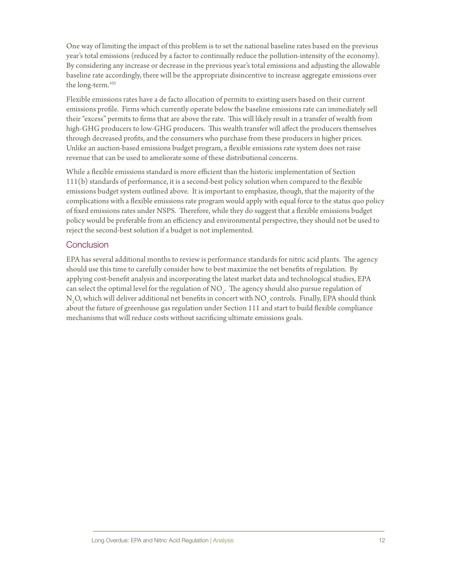One way of limiting the impact of this problem is to set the national baseline rates based on the previous year's total emissions (reduced by a factor to continually reduce the pollution-intensity of the economy). By considering any increase or decrease in the previous year's total emissions and adjusting the allowable baseline rate accordingly, there will be the appropriate disincentive to increase aggregate emissions over the long-term.105

Flexible emissions rates have a de facto allocation of permits to existing users based on their current emissions profile. Firms which currently operate below the baseline emissions rate can immediately sell their "excess" permits to firms that are above the rate. This will likely result in a transfer of wealth from high-GHG producers to low-GHG producers. This wealth transfer will affect the producers themselves through decreased profits, and the consumers who purchase from these producers in higher prices. Unlike an auction-based emissions budget program, a flexible emissions rate system does not raise revenue that can be used to ameliorate some of these distributional concerns.

While a flexible emissions standard is more efficient than the historic implementation of Section 111(b) standards of performance, it is a second-best policy solution when compared to the flexible emissions budget system outlined above. It is important to emphasize, though, that the majority of the complications with a flexible emissions rate program would apply with equal force to the status quo policy of fixed emissions rates under NSPS. Therefore, while they do suggest that a flexible emissions budget policy would be preferable from an efficiency and environmental perspective, they should not be used to reject the second-best solution if a budget is not implemented.

#### Conclusion

EPA has several additional months to review is performance standards for nitric acid plants. The agency should use this time to carefully consider how to best maximize the net benefits of regulation. By applying cost-benefit analysis and incorporating the latest market data and technological studies, EPA can select the optimal level for the regulation of  $\mathrm{NO}_x$ . The agency should also pursue regulation of N<sub>2</sub>O, which will deliver additional net benefits in concert with NO<sub>x</sub> controls. Finally, EPA should think about the future of greenhouse gas regulation under Section 111 and start to build flexible compliance mechanisms that will reduce costs without sacrificing ultimate emissions goals.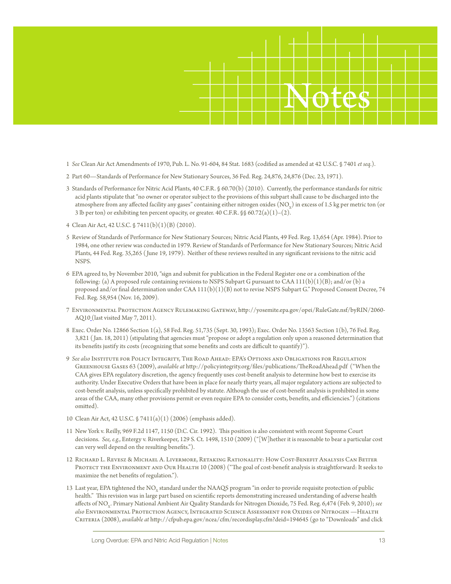

- 1 *See* Clean Air Act Amendments of 1970, Pub. L. No. 91-604, 84 Stat. 1683 (codified as amended at 42 U.S.C. § 7401 *et seq.*).
- 2 Part 60—Standards of Performance for New Stationary Sources, 36 Fed. Reg. 24,876, 24,876 (Dec. 23, 1971).
- 3 Standards of Performance for Nitric Acid Plants, 40 C.F.R. § 60.70(b) (2010). Currently, the performance standards for nitric acid plants stipulate that "no owner or operator subject to the provisions of this subpart shall cause to be discharged into the atmosphere from any affected facility any gases" containing either nitrogen oxides  $(NO_{v})$  in excess of 1.5 kg per metric ton (or 3 lb per ton) or exhibiting ten percent opacity, or greater. 40 C.F.R.  $\$  60.72(a)(1)–(2).
- 4 Clean Air Act, 42 U.S.C. § 7411(b)(1)(B) (2010).
- 5 Review of Standards of Performance for New Stationary Sources; Nitric Acid Plants, 49 Fed. Reg. 13,654 (Apr. 1984). Prior to 1984, one other review was conducted in 1979. Review of Standards of Performance for New Stationary Sources; Nitric Acid Plants, 44 Fed. Reg. 35,265 ( June 19, 1979). Neither of these reviews resulted in any significant revisions to the nitric acid NSPS.
- 6 EPA agreed to, by November 2010, "sign and submit for publication in the Federal Register one or a combination of the following: (a) A proposed rule containing revisions to NSPS Subpart G pursuant to CAA  $111(b)(1)(B)$ ; and/or (b) a proposed and/or final determination under CAA  $111(b)(1)(B)$  not to revise NSPS Subpart G." Proposed Consent Decree, 74 Fed. Reg. 58,954 (Nov. 16, 2009).
- 7 Environmental Protection Agency Rulemaking Gateway, http://yosemite.epa.gov/opei/RuleGate.nsf/byRIN/2060- AQ10 (last visited May 7, 2011).
- 8 Exec. Order No. 12866 Section 1(a), 58 Fed. Reg. 51,735 (Sept. 30, 1993); Exec. Order No. 13563 Section 1(b), 76 Fed. Reg. 3,821 ( Jan. 18, 2011) (stipulating that agencies must "propose or adopt a regulation only upon a reasoned determination that its benefits justify its costs (recognizing that some benefits and costs are difficult to quantify)").
- 9 *See also* Institute for Policy Integrity, The Road Ahead: EPA's Options and Obligations for Regulation Greenhouse Gases 63 (2009), *available at* http://policyintegrity.org/files/publications/TheRoadAhead.pdf ("When the CAA gives EPA regulatory discretion, the agency frequently uses cost-benefit analysis to determine how best to exercise its authority. Under Executive Orders that have been in place for nearly thirty years, all major regulatory actions are subjected to cost-benefit analysis, unless specifically prohibited by statute. Although the use of cost-benefit analysis is prohibited in some areas of the CAA, many other provisions permit or even require EPA to consider costs, benefits, and efficiencies.") (citations omitted).
- 10 Clean Air Act, 42 U.S.C. § 7411(a)(1) (2006) (emphasis added).
- 11 New York v. Reilly, 969 F.2d 1147, 1150 (D.C. Cir. 1992). This position is also consistent with recent Supreme Court decisions. *See, e.g.*, Entergy v. Riverkeeper, 129 S. Ct. 1498, 1510 (2009) ("[W]hether it is reasonable to bear a particular cost can very well depend on the resulting benefits.").
- 12 Richard L. Revesz & Michael A. Livermore, Retaking Rationality: How Cost-Benefit Analysis Can Better PROTECT THE ENVIRONMENT AND OUR HEALTH 10 (2008) ("The goal of cost-benefit analysis is straightforward: It seeks to maximize the net benefits of regulation.").
- 13 Last year, EPA tightened the NO<sub>x</sub> standard under the NAAQS program "in order to provide requisite protection of public health." This revision was in large part based on scientific reports demonstrating increased understanding of adverse health affects of NO<sub>y</sub>. Primary National Ambient Air Quality Standards for Nitrogen Dioxide, 75 Fed. Reg. 6,474 (Feb. 9, 2010); see *also* Environmental Protection Agency, Integrated Science Assessment for Oxides of Nitrogen —Health Criteria (2008), *available at* http://cfpub.epa.gov/ncea/cfm/recordisplay.cfm?deid=194645 (go to "Downloads" and click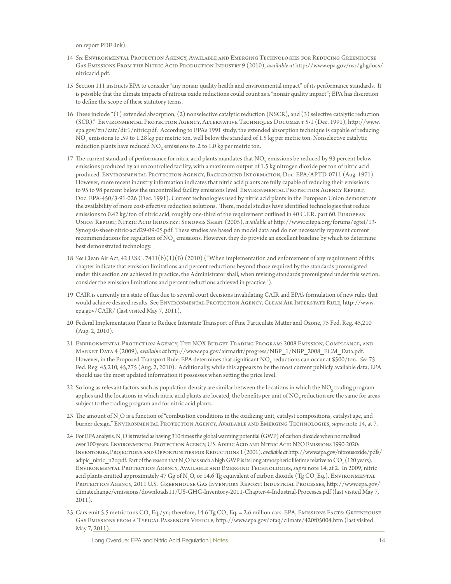on report PDF link).

- 14 *See* Environmental Protection Agency, Available and Emerging Technologies for Reducing Greenhouse Gas Emissions From the Nitric Acid Production Industry 9 (2010), *available at* http://www.epa.gov/nsr/ghgdocs/ nitricacid.pdf.
- 15 Section 111 instructs EPA to consider "any nonair quality health and environmental impact" of its performance standards. It is possible that the climate impacts of nitrous oxide reductions could count as a "nonair quality impact"; EPA has discretion to define the scope of these statutory terms.
- 16 These include "(1) extended absorption, (2) nonselective catalytic reduction (NSCR), and (3) selective catalytic reduction (SCR)." Environmental Protection Agency, Alternative Techniques Document 5-1 (Dec. 1991), http://www. epa.gov/ttn/catc/dir1/nitric.pdf. According to EPA's 1991 study, the extended absorption technique is capable of reducing NO<sub>y</sub> emissions to .59 to 1.28 kg per metric ton, well below the standard of 1.5 kg per metric ton. Nonselective catalytic reduction plants have reduced  $NO<sub>x</sub>$  emissions to .2 to 1.0 kg per metric ton.
- 17 The current standard of performance for nitric acid plants mandates that  $NO_{x}$  emissions be reduced by 93 percent below emissions produced by an uncontrolled facility, with a maximum output of 1.5 kg nitrogen dioxide per ton of nitric acid produced. Environmental Protection Agency, Background Information, Doc. EPA/APTD-0711 (Aug. 1971). However, more recent industry information indicates that nitric acid plants are fully capable of reducing their emissions to 95 to 98 percent below the uncontrolled facility emissions level. ENVIRONMENTAL PROTECTION AGENCY REPORT, Doc. EPA-450/3-91-026 (Dec. 1991). Current technologies used by nitric acid plants in the European Union demonstrate the availability of more cost-effective reduction solutions. There, model studies have identified technologies that reduce emissions to 0.42 kg/ton of nitric acid, roughly one-third of the requirement outlined in 40 C.F.R. part 60. European Union Report, Nitric Acid Industry: Synopsis Sheet (2005), *available at* http://www.citepa.org/forums/egtei/13- Synopsis-sheet-nitric-acid29-09-05.pdf. These studies are based on model data and do not necessarily represent current recommendations for regulation of NO<sub>y</sub> emissions. However, they do provide an excellent baseline by which to determine best demonstrated technology.
- 18 *See* Clean Air Act, 42 U.S.C. 7411(b)(1)(B) (2010) ("When implementation and enforcement of any requirement of this chapter indicate that emission limitations and percent reductions beyond those required by the standards promulgated under this section are achieved in practice, the Administrator shall, when revising standards promulgated under this section, consider the emission limitations and percent reductions achieved in practice.").
- 19 CAIR is currently in a state of flux due to several court decisions invalidating CAIR and EPA's formulation of new rules that would achieve desired results. See Environmental Protection Agency, Clean Air Interstate Rule, http://www. epa.gov/CAIR/ (last visited May 7, 2011).
- 20 Federal Implementation Plans to Reduce Interstate Transport of Fine Particulate Matter and Ozone, 75 Fed. Reg. 45,210 (Aug. 2, 2010).
- 21 Environmental Protection Agency, The NOX Budget Trading Program: 2008 Emission, Compliance, and Market Data 4 (2009), *available at* http://www.epa.gov/airmarkt/progress/NBP\_1/NBP\_2008\_ECM\_Data.pdf. However, in the Proposed Transport Rule, EPA determines that significant NO<sub>v</sub> reductions can occur at \$500/ton. See 75 Fed. Reg. 45,210, 45,275 (Aug. 2, 2010). Additionally, while this appears to be the most current publicly available data, EPA should use the most updated information it possesses when setting the price level.
- 22 So long as relevant factors such as population density are similar between the locations in which the  $NO<sub>v</sub>$  trading program applies and the locations in which nitric acid plants are located, the benefits per unit of NO<sub>y</sub> reduction are the same for areas subject to the trading program and for nitric acid plants.
- 23 The amount of  $N^2$ O is a function of "combustion conditions in the oxidizing unit, catalyst compositions, catalyst age, and burner design." Environmental Protection Agency, Available and Emerging Technologies, *supra* note 14, at 7.
- 24 For EPA analysis, N<sub>2</sub>O is treated as having 310 times the global warming potential (GWP) of carbon dioxide when normalized over 100 years. ENVIRONMENTAL PROTECTION AGENCY, U.S. ADIPIC ACID AND NITRIC ACID N2O EMISSIONS 1990-2020: Inventories, Projections and Opportunities for Reductions 1 (2001), *available at* http://www.epa.gov/nitrousoxide/pdfs/ adipic\_nitric\_n2o.pdf. Part of the reason that N<sub>2</sub>O has such a high GWP is its long atmospheric lifetime relative to CO<sub>2</sub> (120 years). Environmental Protection Agency, Available and Emerging Technologies, *supra* note 14, at 2. In 2009, nitric acid plants emitted approximately 47 Gg of N<sub>2</sub>O, or 14.6 Tg equivalent of carbon dioxide (Tg CO<sub>2</sub>Eq.). Environmental Protection Agency, 2011 U.S. Greenhouse Gas Inventory Report: Industrial Processes, http://www.epa.gov/ climatechange/emissions/downloads11/US-GHG-Inventory-2011-Chapter-4-Industrial-Processes.pdf (last visited May 7, 2011).
- 25 Cars emit 5.5 metric tons CO<sub>2</sub> Eq./yr.; therefore, 14.6 Tg CO<sub>2</sub> Eq. = 2.6 million cars. EPA, EMISSIONS FACTS: GREENHOUSE Gas Emissions from a Typical Passenger Vehicle, http://www.epa.gov/otaq/climate/420f05004.htm (last visited May 7, 2011)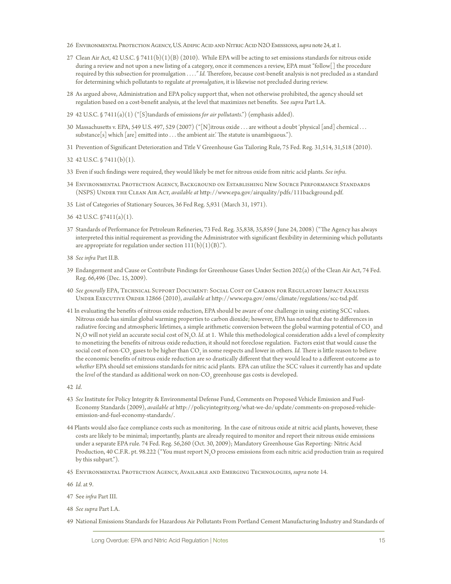- 26 Environmental Protection Agency, U.S. Adipic Acid and Nitric Acid N2O Emissions, *supra* note 24, at 1.
- 27 Clean Air Act, 42 U.S.C. § 7411(b)(1)(B) (2010). While EPA will be acting to set emissions standards for nitrous oxide during a review and not upon a new listing of a category, once it commences a review, EPA must "follow[] the procedure required by this subsection for promulgation . . . *." Id.* Therefore, because cost-benefit analysis is not precluded as a standard for determining which pollutants to regulate *at promulgation*, it is likewise not precluded during review.
- 28 As argued above, Administration and EPA policy support that, when not otherwise prohibited, the agency should set regulation based on a cost-benefit analysis, at the level that maximizes net benefits. See *supra* Part I.A.
- 29 42 U.S.C. § 7411(a)(1) ("[S]tandards of emissions *for air pollutants*.") (emphasis added).
- 30 Massachusetts v. EPA, 549 U.S. 497, 529 (2007) ("[N]itrous oxide . . . are without a doubt 'physical [and] chemical . . . substance  $[s]$  which  $[are]$  emitted into ... the ambient air.' The statute is unambiguous.").
- 31 Prevention of Significant Deterioration and Title V Greenhouse Gas Tailoring Rule, 75 Fed. Reg. 31,514, 31,518 (2010).

32 42 U.S.C. § 7411(b)(1).

- 33 Even if such findings were required, they would likely be met for nitrous oxide from nitric acid plants. *See infra*.
- 34 Environmental Protection Agency, Background on Establishing New Source Performance Standards (NSPS) Under the Clean Air Act, *available at* http://www.epa.gov/airquality/pdfs/111background.pdf.
- 35 List of Categories of Stationary Sources, 36 Fed Reg. 5,931 (March 31, 1971).
- 36 42 U.S.C. §7411(a)(1).
- 37 Standards of Performance for Petroleum Refineries, 73 Fed. Reg. 35,838, 35,859 ( June 24, 2008) ("The Agency has always interpreted this initial requirement as providing the Administrator with significant flexibility in determining which pollutants are appropriate for regulation under section  $111(b)(1)(B)$ .").
- 38 *See infra* Part II.B.
- 39 Endangerment and Cause or Contribute Findings for Greenhouse Gases Under Section 202(a) of the Clean Air Act, 74 Fed. Reg. 66,496 (Dec. 15, 2009).
- 40 *See generally* EPA, Technical Support Document: Social Cost of Carbon for Regulatory Impact Analysis Under Executive Order 12866 (2010), *available at* http://www.epa.gov/oms/climate/regulations/scc-tsd.pdf.
- 41 In evaluating the benefits of nitrous oxide reduction, EPA should be aware of one challenge in using existing SCC values. Nitrous oxide has similar global warming properties to carbon dioxide; however, EPA has noted that due to differences in radiative forcing and atmospheric lifetimes, a simple arithmetic conversion between the global warming potential of CO<sub>2</sub> and N<sub>2</sub>O will not yield an accurate social cost of N<sub>2</sub>O. *Id.* at 1. While this methodological consideration adds a level of complexity to monetizing the benefits of nitrous oxide reduction, it should not foreclose regulation. Factors exist that would cause the social cost of non-CO<sub>2</sub> gases to be higher than CO<sub>2</sub> in some respects and lower in others. *Id.* There is little reason to believe the economic benefits of nitrous oxide reduction are so drastically different that they would lead to a different outcome as to *whether* EPA should set emissions standards for nitric acid plants. EPA can utilize the SCC values it currently has and update the *level* of the standard as additional work on non-CO<sub>2</sub> greenhouse gas costs is developed.
- 42 *Id*.
- 43 *See* Institute for Policy Integrity & Environmental Defense Fund, Comments on Proposed Vehicle Emission and Fuel-Economy Standards (2009), *available at* http://policyintegrity.org/what-we-do/update/comments-on-proposed-vehicleemission-and-fuel-economy-standards/.
- 44 Plants would also face compliance costs such as monitoring. In the case of nitrous oxide at nitric acid plants, however, these costs are likely to be minimal; importantly, plants are already required to monitor and report their nitrous oxide emissions under a separate EPA rule. 74 Fed. Reg. 56,260 (Oct. 30, 2009); Mandatory Greenhouse Gas Reporting: Nitric Acid Production, 40 C.F.R. pt. 98.222 ("You must report N<sub>2</sub>O process emissions from each nitric acid production train as required by this subpart.").
- 45 Environmental Protection Agency, Available and Emerging Technologies, *supra* note 14.

46 *Id.* at 9.

- 47 See *infra* Part III.
- 48 *See supra* Part I.A.
- 49 National Emissions Standards for Hazardous Air Pollutants From Portland Cement Manufacturing Industry and Standards of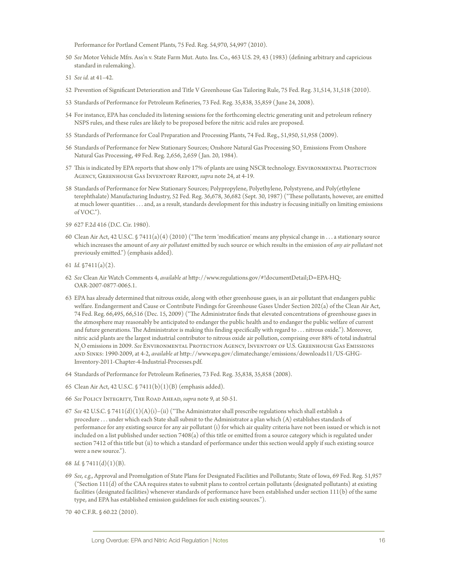Performance for Portland Cement Plants, 75 Fed. Reg. 54,970, 54,997 (2010).

- 50 *See* Motor Vehicle Mfrs. Ass'n v. State Farm Mut. Auto. Ins. Co., 463 U.S. 29, 43 (1983) (defining arbitrary and capricious standard in rulemaking).
- 51 *See id.* at 41–42.
- 52 Prevention of Significant Deterioration and Title V Greenhouse Gas Tailoring Rule, 75 Fed. Reg. 31,514, 31,518 (2010).
- 53 Standards of Performance for Petroleum Refineries, 73 Fed. Reg. 35,838, 35,859 ( June 24, 2008).
- 54 For instance, EPA has concluded its listening sessions for the forthcoming electric generating unit and petroleum refinery NSPS rules, and these rules are likely to be proposed before the nitric acid rules are proposed.
- 55 Standards of Performance for Coal Preparation and Processing Plants, 74 Fed. Reg., 51,950, 51,958 (2009).
- 56 Standards of Performance for New Stationary Sources; Onshore Natural Gas Processing SO $_2$  Emissions From Onshore Natural Gas Processing, 49 Fed. Reg. 2,656, 2,659 ( Jan. 20, 1984).
- 57 This is indicated by EPA reports that show only 17% of plants are using NSCR technology. Environmental Protection Agency, Greenhouse Gas Inventory Report, *supra* note 24, at 4-19.
- 58 Standards of Performance for New Stationary Sources; Polypropylene, Polyethylene, Polystyrene, and Poly(ethylene terephthalate) Manufacturing Industry, 52 Fed. Reg. 36,678, 36,682 (Sept. 30, 1987) ("These pollutants, however, are emitted at much lower quantities . . . and, as a result, standards development for this industry is focusing initially on limiting emissions of VOC.").
- 59 627 F.2d 416 (D.C. Cir. 1980).
- 60 Clean Air Act, 42 U.S.C. § 7411(a)(4) (2010) ("The term 'modification' means any physical change in . . . a stationary source which increases the amount of *any air pollutant* emitted by such source or which results in the emission of *any air pollutant* not previously emitted.") (emphasis added).
- 61 *Id.* §7411(a)(2).
- 62 *See* Clean Air Watch Comments 4, *available at* http://www.regulations.gov/#!documentDetail;D=EPA-HQ-OAR-2007-0877-0065.1.
- 63 EPA has already determined that nitrous oxide, along with other greenhouse gases, is an air pollutant that endangers public welfare. Endangerment and Cause or Contribute Findings for Greenhouse Gases Under Section 202(a) of the Clean Air Act, 74 Fed. Reg. 66,495, 66,516 (Dec. 15, 2009) ("The Administrator finds that elevated concentrations of greenhouse gases in the atmosphere may reasonably be anticipated to endanger the public health and to endanger the public welfare of current and future generations. The Administrator is making this finding specifically with regard to . . . nitrous oxide."). Moreover, nitric acid plants are the largest industrial contributor to nitrous oxide air pollution, comprising over 88% of total industrial N2 O emissions in 2009. *See* Environmental Protection Agency, Inventory of U.S. Greenhouse Gas Emissions and Sinks: 1990-2009, at 4-2, *available at* http://www.epa.gov/climatechange/emissions/downloads11/US-GHG-Inventory-2011-Chapter-4-Industrial-Processes.pdf.
- 64 Standards of Performance for Petroleum Refineries, 73 Fed. Reg. 35,838, 35,858 (2008).
- 65 Clean Air Act, 42 U.S.C.  $\sqrt{5}$  7411(b)(1)(B) (emphasis added).
- 66 *See* Policy Integrity, The Road Ahead, *supra* note 9, at 50-51.
- 67 *See* 42 U.S.C. § 7411(d)(1)(A)(i)–(ii) ("The Administrator shall prescribe regulations which shall establish a procedure . . . under which each State shall submit to the Administrator a plan which (A) establishes standards of performance for any existing source for any air pollutant (i) for which air quality criteria have not been issued or which is not included on a list published under section 7408(a) of this title or emitted from a source category which is regulated under section 7412 of this title but (ii) to which a standard of performance under this section would apply if such existing source were a new source.").
- 68 *Id.* § 7411(d)(1)(B).
- 69 *See, e.g.*, Approval and Promulgation of State Plans for Designated Facilities and Pollutants; State of Iowa, 69 Fed. Reg. 51,957 ("Section 111(d) of the CAA requires states to submit plans to control certain pollutants (designated pollutants) at existing facilities (designated facilities) whenever standards of performance have been established under section 111(b) of the same type, and EPA has established emission guidelines for such existing sources.").
- 70 40 C.F.R. § 60.22 (2010).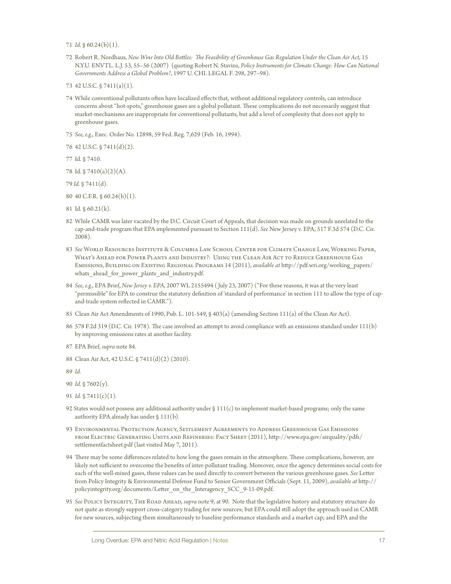71 *Id.* § 60.24(b)(1).

72 Robert R. Nordhaus, *New Wine Into Old Bottles: The Feasibility of Greenhouse Gas Regulation Under the Clean Air Act*, 15 N.Y.U. ENVTL. L.J. 53, 55–56 (2007) (quoting Robert N. Stavins, *Policy Instruments for Climate Change: How Can National Governments Address a Global Problem?*, 1997 U. CHI. LEGAL F. 298, 297–98).

73 42 U.S.C. § 7411(a)(1).

74 While conventional pollutants often have localized effects that, without additional regulatory controls, can introduce concerns about "hot-spots," greenhouse gases are a global pollutant. These complications do not necessarily suggest that market-mechanisms are inappropriate for conventional pollutants, but add a level of complexity that does not apply to greenhouse gases.

75 *See, e.g.*, Exec. Order No. 12898, 59 Fed. Reg. 7,629 (Feb. 16, 1994).

76 42 U.S.C. § 7411(d)(2).

77 Id. § 7410.

78 Id. § 7410(a)(2)(A).

79 *Id.* § 7411(d).

80 40 C.F.R. § 60.24(b)(1).

81 Id. § 60.21(k).

- 82 While CAMR was later vacated by the D.C. Circuit Court of Appeals, that decision was made on grounds unrelated to the cap-and-trade program that EPA implemented pursuant to Section 111(d). *See* New Jersey v. EPA, 517 F.3d 574 (D.C. Cir. 2008).
- 83 *See* World Resources Institute & Columbia Law School Center for Climate Change Law, Working Paper, What's Ahead for Power Plants and Industry?: Using the Clean Air Act to Reduce Greenhouse Gas Emissions, Building on Existing Regional Programs 14 (2011), *available at* http://pdf.wri.org/working\_papers/ whats ahead for power plants and industry.pdf.
- 84 *See, e.g.*, EPA Brief, *New Jersey v. EPA*, 2007 WL 2155494 ( July 23, 2007) ("For these reasons, it was at the very least "permissible" for EPA to construe the statutory definition of 'standard of performance' in section 111 to allow the type of capand-trade system reflected in CAMR.").
- 85 Clean Air Act Amendments of 1990, Pub. L. 101-549, § 403(a) (amending Section 111(a) of the Clean Air Act).
- 86 578 F.2d 319 (D.C. Cir. 1978). The case involved an attempt to avoid compliance with an emissions standard under 111(b) by improving emissions rates at another facility.
- 87 EPA Brief, *supra* note 84.
- 88 Clean Air Act, 42 U.S.C. § 7411(d)(2) (2010).

89 *Id.*

- 90 *Id.* § 7602(y).
- 91 *Id.* § 7411(c)(1).
- 92 States would not possess any additional authority under § 111(c) to implement market-based programs; only the same authority EPA already has under § 111(b).
- 93 Environmental Protection Agency, Settlement Agreements to Address Greenhouse Gas Emissions from Electric Generating Units and Refineries: Fact Sheet (2011), http://www.epa.gov/airquality/pdfs/ settlementfactsheet.pdf (last visited May 7, 2011).
- 94 There may be some differences related to how long the gases remain in the atmosphere. These complications, however, are likely not sufficient to overcome the benefits of inter-pollutant trading. Moreover, once the agency determines social costs for each of the well-mixed gases, these values can be used directly to convert between the various greenhouse gases. *See* Letter from Policy Integrity & Environmental Defense Fund to Senior Government Officials (Sept. 11, 2009), *available at* http:// policyintegrity.org/documents/Letter\_on\_the\_Interagency\_SCC\_9-11-09.pdf.
- 95 *See* Policy Integrity, The Road Ahead, *supra* note 9, at 90. Note that the legislative history and statutory structure do not quite as strongly support cross-category trading for new sources; but EPA could still adopt the approach used in CAMR for new sources, subjecting them simultaneously to baseline performance standards and a market cap; and EPA and the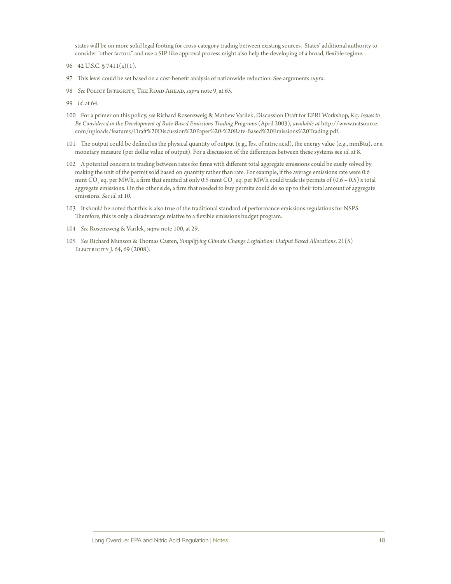states will be on more solid legal footing for cross-category trading between existing sources. States' additional authority to consider "other factors" and use a SIP-like approval process might also help the developing of a broad, flexible regime.

- 96 42 U.S.C. § 7411(a)(1).
- 97 This level could be set based on a cost-benefit analysis of nationwide reduction. See arguments *supra*.
- 98 *See* Policy Integrity, The Road Ahead, *supra* note 9, at 65.
- 99 *Id.* at 64.
- 100 For a primer on this policy, *see* Richard Rosenzweig & Mathew Varilek, Discussion Draft for EPRI Workshop, *Key Issues to Be Considered in the Development of Rate-Based Emissions Trading Programs* (April 2003), *available at* http://www.natsource. com/uploads/features/Draft%20Discussion%20Paper%20-%20Rate-Based%20Emissions%20Trading.pdf.
- 101 The output could be defined as the physical quantity of output (e.g., lbs. of nitric acid), the energy value (e.g., mmBtu), or a monetary measure (per dollar value of output). For a discussion of the differences between these systems see *id*. at 8.
- 102 A potential concern in trading between rates for firms with different total aggregate emissions could be easily solved by making the unit of the permit sold based on quantity rather than rate. For example, if the average emissions rate were 0.6 mmt CO<sub>2</sub> eq. per MWh, a firm that emitted at only 0.5 mmt CO<sub>2</sub> eq. per MWh could trade its permits of  $(0.6$  – 0.5) x total aggregate emissions. On the other side, a firm that needed to buy permits could do so up to their total amount of aggregate emissions. *See id.* at 10.
- 103 It should be noted that this is also true of the traditional standard of performance emissions regulations for NSPS. Therefore, this is only a disadvantage relative to a flexible emissions budget program.
- 104 *See* Rosenzweig & Varilek, *supra* note 100, at 29.
- 105 *See* Richard Munson & Thomas Casten, *Simplifying Climate Change Legislation: Output Based Allocations*, 21(5) Electricity J. 64, 69 (2008).